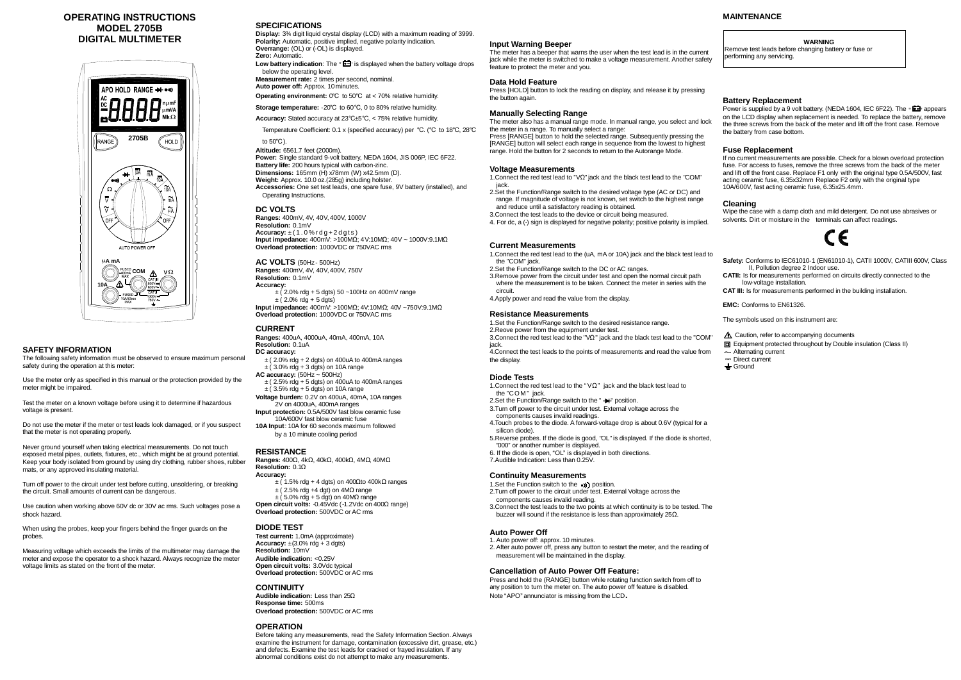### **OPERATING INSTRUCTIONS MODEL 2705B DIGITAL MULTIMETER**

The following safety information must be observed to ensure maximum personal safety during the operation at this meter:



### **SAFETY INFORMATION**

Use the meter only as specified in this manual or the protection provided by the meter might be impaired.

Test the meter on a known voltage before using it to determine if hazardous voltage is present.

Do not use the meter if the meter or test leads look damaged, or if you suspect that the meter is not operating properly.

Never ground yourself when taking electrical measurements. Do not touch exposed metal pipes, outlets, fixtures, etc., which might be at ground potential. Keep your body isolated from ground by using dry clothing, rubber shoes, rubber mats, or any approved insulating material.

Low battery indication: The "**EE**" is displayed when the battery voltage drops below the operating level.

Turn off power to the circuit under test before cutting, unsoldering, or breaking the circuit. Small amounts of current can be dangerous.

Use caution when working above 60V dc or 30V ac rms. Such voltages pose a shock hazard.

When using the probes, keep your fingers behind the finger guards on the probes.

Measuring voltage which exceeds the limits of the multimeter may damage the meter and expose the operator to a shock hazard. Always recognize the meter voltage limits as stated on the front of the meter.

**AC VOLTS** (50Hz - 500Hz) **Ranges:** 400mV, 4V, 40V, 400V, 750V **Resolution:** 0.1mV **Accuracy:**  $\pm$  (2.0% rdg + 5 dgts) 50 ~100Hz on 400mV range

### **SPECIFICATIONS**

 $\pm$  (2.0% rdg + 5 dgts) **Input impedance:** 400mV: >100MΩ; 4V:10MΩ; 40V ~750V:9.1MΩ

**Display:** 3¾ digit liquid crystal display (LCD) with a maximum reading of 3999. **Polarity:** Automatic, positive implied, negative polarity indication. **Overrange:** (OL) or (-OL) is displayed. **Zero:** Automatic.

- $\pm$  (2.0% rdg + 2 dgts) on 400uA to 400mA ranges  $\pm$  (3.0% rdg + 3 dgts) on 10A range
- **AC accuracy:** (50Hz ~ 500Hz)
- $\pm$  (2.5% rdg + 5 dgts) on 400uA to 400mA ranges  $\pm$  (3.5% rdg + 5 dgts) on 10A range
- **Voltage burden:** 0.2V on 400uA, 40mA, 10A ranges 2V on 4000uA, 400mA ranges
- **Input protection:** 0.5A/500V fast blow ceramic fuse 10A/600V fast blow ceramic fuse
- **10A Input**: 10A for 60 seconds maximum followed by a 10 minute cooling period

**Measurement rate:** 2 times per second, nominal. **Auto power off:** Approx. 10 minutes.

**Operating environment:** 0℃ to 50℃ at < 70% relative humidity.

 $\pm$  (5.0% rdg + 5 dgt) on 40MQ range **Open circuit volts:** -0.45Vdc (-1.2Vdc on 400Ω range) **Overload protection:** 500VDC or AC rms

**Test current:** 1.0mA (approximate) **Accuracy:**  $\pm$ (3.0% rdg + 3 dgts) **Resolution:** 10mV **Audible indication:** <0.25V **Open circuit volts:** 3.0Vdc typical **Overload protection:** 500VDC or AC rms

**Storage temperature:** -20℃ to 60℃, 0 to 80% relative humidity.

**Accuracy:** Stated accuracy at 23℃±5℃, < 75% relative humidity.

Temperature Coefficient: 0.1 x (specified accuracy) per ℃. (℃ to 18℃, 28℃ to 50℃).

**Altitude:** 6561.7 feet (2000m). **Power:** Single standard 9-volt battery, NEDA 1604, JIS 006P, IEC 6F22. **Battery life:** 200 hours typical with carbon-zinc. **Dimensions:** 165mm (H) x78mm (W) x42.5mm (D). **Weight:** Approx. 10.0 oz.(285g) including holster. **Accessories:** One set test leads, one spare fuse, 9V battery (installed), and Operating Instructions.

### **DC VOLTS**

**Ranges:** 400mV, 4V, 40V, 400V, 1000V **Resolution:** 0.1mV Accuracy:  $\pm(1.0\% \text{rdg} + 2 \text{dgts})$ **Input impedance:** 400mV: >100MΩ; 4V:10MΩ; 40V ~ 1000V:9.1MΩ **Overload protection:** 1000VDC or 750VAC rms

1. Connect the red test lead to "V $\Omega$ " jack and the black test lead to the "COM" jack.

**Overload protection:** 1000VDC or 750VAC rms

### **CURRENT**

**Ranges:** 400uA, 4000uA, 40mA, 400mA, 10A **Resolution:** 0.1uA **DC accuracy:**

### **RESISTANCE**

- 1. Connect the red test lead to the " $\vee$ Ω" jack and the black test lead to the "COM" jack.
- 2.Set the Function/Range switch to the "++" position.
- 3.Turn off power to the circuit under test. External voltage across the
- components causes invalid readings. 4.Touch probes to the diode. A forward-voltage drop is about 0.6V (typical for a
- silicon diode). 5.Reverse probes. If the diode is good, "OL"is displayed. If the diode is shorted, "000" or another number is displayed.
- 6. If the diode is open, "OL" is displayed in both directions.
- 7.Audible Indication: Less than 0.25V.

**Ranges:** 400Ω, 4kΩ, 40kΩ, 400kΩ, 4MΩ, 40MΩ **Resolution:** 0.1Ω **Accuracy:**

- $\pm$  (1.5% rdg + 4 dgts) on 400Ωto 400kΩ ranges
- $\pm$  (2.5% rdg +4 dgt) on 4M $\Omega$  range
- 1. Set the Function switch to the ( $\bullet$ ) position.
- 2.Turn off power to the circuit under test. External Voltage across the components causes invalid reading.
- 3.Connect the test leads to the two points at which continuity is to be tested. The buzzer will sound if the resistance is less than approximately 25Ω.

### **DIODE TEST**

### **CONTINUITY**

**Audible indication:** Less than 25Ω **Response time:** 500ms **Overload protection:** 500VDC or AC rms

Power is supplied by a 9 volt battery. (NEDA 1604, IEC 6F22). The " on the LCD display when replacement is needed. To replace the battery, remove the three screws from the back of the meter and lift off the front case. Remove the battery from case bottom.

### **OPERATION**

Before taking any measurements, read the Safety Information Section. Always examine the instrument for damage, contamination (excessive dirt, grease, etc.) and defects. Examine the test leads for cracked or frayed insulation. If any abnormal conditions exist do not attempt to make any measurements.

Wipe the case with a damp cloth and mild detergent. Do not use abrasives or solvents. Dirt or moisture in the terminals can affect readings.



#### **Input Warning Beeper**

The meter has a beeper that warns the user when the test lead is in the current jack while the meter is switched to make a voltage measurement. Another safety feature to protect the meter and you.

### **Data Hold Feature**

Press [HOLD] button to lock the reading on display, and release it by pressing the button again.

### **Manually Selecting Range**

The meter also has a manual range mode. In manual range, you select and lock the meter in a range. To manually select a range:

Press [RANGE] button to hold the selected range. Subsequently pressing the [RANGE] button will select each range in sequence from the lowest to highest range. Hold the button for 2 seconds to return to the Autorange Mode.

### **Voltage Measurements**

- 2.Set the Function/Range switch to the desired voltage type (AC or DC) and range. If magnitude of voltage is not known, set switch to the highest range and reduce until a satisfactory reading is obtained.
- 3.Connect the test leads to the device or circuit being measured.
- 4. For dc, a (-) sign is displayed for negative polarity; positive polarity is implied.

### **Current Measurements**

- 1.Connect the red test lead to the (uA, mA or 10A) jack and the black test lead to the "COM" jack.
- 2.Set the Function/Range switch to the DC or AC ranges.
- 3.Remove power from the circuit under test and open the normal circuit path where the measurement is to be taken. Connect the meter in series with the circuit.
- 4.Apply power and read the value from the display.

### **Resistance Measurements**

- 1.Set the Function/Range switch to the desired resistance range.
- 2.Reove power from the equipment under test.

3.Connect the red test lead to the "VΩ" jack and the black test lead to the "COM"

jack.

4.Connect the test leads to the points of measurements and read the value from the display.

### **Diode Tests**

### **Continuity Measurements**

### **Auto Power Off**

- 1. Auto power off: approx. 10 minutes.
- 2. After auto power off, press any button to restart the meter, and the reading of measurement will be maintained in the display.

### **Cancellation of Auto Power Off Feature:**

Press and hold the (RANGE) button while rotating function switch from off to any position to turn the meter on. The auto power off feature is disabled. Note "APO" annunciator is missing from the LCD**.**

#### **WARNING**

Remove test leads before changing battery or fuse or performing any servicing.

### **Battery Replacement**

### **Fuse Replacement**

If no current measurements are possible. Check for a blown overload protection fuse. For access to fuses, remove the three screws from the back of the meter and lift off the front case. Replace F1 only with the original type 0.5A/500V, fast acting ceramic fuse, 6.35x32mm Replace F2 only with the original type 10A/600V, fast acting ceramic fuse, 6.35x25.4mm.

### **Cleaning**

**Safety:** Conforms to IEC61010-1 (EN61010-1), CATII 1000V, CATIII 600V, Class II, Pollution degree 2 Indoor use.

**CATII:** Is for measurements performed on circuits directly connected to the low-voltage installation.

**CAT III:** Is for measurements performed in the building installation.

**EMC:** Conforms to EN61326.

The symbols used on this instrument are:

- $\triangle$  Caution, refer to accompanying documents
- Equipment protected throughout by Double insulation (Class II)
- **Alternating current**
- Direct current
- $\div$  Ground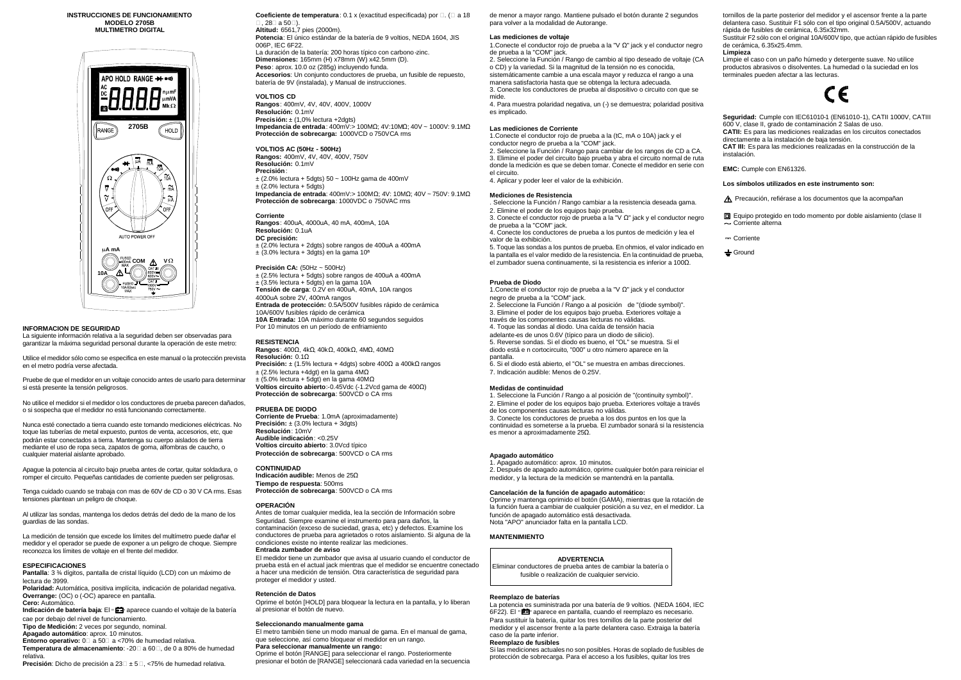#### **INSTRUCCIONES DE FUNCIONAMIENTO MODELO 2705B MULTIMETRO DIGITAL**



#### **INFORMACION DE SEGURIDAD**

La siguiente información relativa a la seguridad deben ser observadas para garantizar la máxima seguridad personal durante la operación de este metro:

Utilice el medidor sólo como se especifica en este manual o la protección prevista en el metro podría verse afectada.

Pruebe de que el medidor en un voltaje conocido antes de usarlo para determinar si está presente la tensión peligrosos.

No utilice el medidor si el medidor o los conductores de prueba parecen dañados, o si sospecha que el medidor no está funcionando correctamente.

Nunca esté conectado a tierra cuando este tomando mediciones eléctricas. No toque las tuberías de metal expuesto, puntos de venta, accesorios, etc, que podrán estar conectados a tierra. Mantenga su cuerpo aislados de tierra mediante el uso de ropa seca, zapatos de goma, alfombras de caucho, o cualquier material aislante aprobado.

**Indicación de batería baja: El "**  $\mathbf{E}$  aparece cuando el voltaje de la batería cae por debajo del nivel de funcionamiento.

Apague la potencia al circuito bajo prueba antes de cortar, quitar soldadura, o romper el circuito. Pequeñas cantidades de corriente pueden ser peligrosas.

**Coeficiente de temperatura**: 0.1 x (exactitud especificada) por □. (□ a 18 ℃, 28℃a 50℃). **Altitud:** 6561,7 pies (2000m).

Tenga cuidado cuando se trabaja con mas de 60V de CD o 30 V CA rms. Esas tensiones plantean un peligro de choque.

Al utilizar las sondas, mantenga los dedos detrás del dedo de la mano de los guardias de las sondas.

La medición de tensión que excede los límites del multímetro puede dañar el medidor y el operador se puede de exponer a un peligro de choque. Siempre reconozca los límites de voltaje en el frente del medidor.

#### **ESPECIFICACIONES**

**Rangos**: 400uA, 4000uA, 40 mA, 400mA, 10A **Resolución:** 0.1uA **DC precisión:** ± (2.0% lectura + 2dgts) sobre rangos de 400uA a 400mA  $\pm$  (3.0% lectura + 3dgts) en la gama 10<sup>a</sup>

**Pantalla**: 3 ¾ dígitos, pantalla de cristal líquido (LCD) con un máximo de lectura de 3999.

**Polaridad:** Automática, positiva implícita, indicación de polaridad negativa. **Overrange:** (OC) o (-OC) aparece en pantalla. **Cero:** Automático.

 $±$  (2.5% lectura + 5dgts) sobre rangos de 400uA a 400mA ± (3.5% lectura + 5dgts) en la gama 10A **Tensión de carga**: 0.2V en 400uA, 40mA, 10A rangos 4000uA sobre 2V, 400mA rangos **Entrada de protección:** 0.5A/500V fusibles rápido de cerámica 10A/600V fusibles rápido de cerámica **10A Entrada:** 10A máximo durante 60 segundos seguidos Por 10 minutos en un período de enfriamiento

**Rangos**: 400Ω, 4kΩ, 40kΩ, 400kΩ, 4MΩ, 40MΩ **Resolución:** 0.1Ω **Precisión:** ± (1.5% lectura + 4dgts) sobre 400Ωa 400kΩrangos ± (2.5% lectura +4dgt) en la gama 4MΩ  $\pm$  (5.0% lectura + 5dgt) en la gama 40M $\Omega$ **Voltios circuito abierto**:-0.45Vdc (-1.2Vcd gama de 400Ω) **Protección de sobrecarga: 500VCD o CA rms** 

**Tipo de Medición:** 2 veces por segundo, nominal. **Apagado automático**: aprox. 10 minutos.

**Entorno operativo:** 0℃a 50℃a <70% de humedad relativa. **Temperatura de almacenamiento**: -20℃a 60℃, de 0 a 80% de humedad relativa.

**Precisión**: Dicho de precisión a 23℃± 5℃, <75% de humedad relativa.

**Potencia**: El único estándar de la batería de 9 voltios, NEDA 1604, JIS 006P, IEC 6F22. La duración de la batería: 200 horas típico con carbono-zinc. **Dimensiones:** 165mm (H) x78mm (W) x42.5mm (D). **Peso**: aprox. 10.0 oz (285g) incluyendo funda. **Accesorios**: Un conjunto conductores de prueba, un fusible de repuesto, batería de 9V (instalada), y Manual de instrucciones.

**VOLTIOS CD**

**Rangos**: 400mV, 4V, 40V, 400V, 1000V **Resolución:** 0.1mV **Precisión:** ± (1,0% lectura +2dgts) **Impedancia de entrada**: 400mV:> 100MΩ; 4V:10MΩ; 40V ~ 1000V: 9.1MΩ **Protección de sobrecarga:** 1000VCD o 750VCA rms

**VOLTIOS AC (50Hz - 500Hz) Rangos:** 400mV, 4V, 40V, 400V, 750V **Resolución:** 0.1mV **Precisión**:  $\pm$  (2.0% lectura + 5dgts) 50 ~ 100Hz gama de 400mV  $\pm$  (2.0% lectura + 5dgts) **Impedancia de entrada**: 400mV:> 100MΩ; 4V: 10MΩ; 40V ~ 750V: 9.1MΩ **Protección de sobrecarga**: 1000VDC o 750VAC rms

#### **Corriente**

#### **Precisión CA:** (50Hz ~ 500Hz)

#### **RESISTENCIA**

#### **PRUEBA DE DIODO**

**Corriente de Prueba**: 1.0mA (aproximadamente) **Precisión:**  $\pm$  (3.0% lectura + 3dgts) **Resolución**: 10mV **Audible indicación**: <0.25V **Voltios circuito abierto**: 3.0Vcd típico **Protección de sobrecarga**: 500VCD o CA rms

#### **CONTINUIDAD**

**Indicación audible:** Menos de 25Ω **Tiempo de respuesta**: 500ms **Protección de sobrecarga**: 500VCD o CA rms

#### **OPERACIÓN**

Antes de tomar cualquier medida, lea la sección de Información sobre Seguridad. Siempre examine el instrumento para para daños, la contaminación (exceso de suciedad, grasa, etc) y defectos. Examine los conductores de prueba para agrietados o rotos aislamiento. Si alguna de la condiciones existe no intente realizar las mediciones. **Entrada zumbador de aviso**

El medidor tiene un zumbador que avisa al usuario cuando el conductor de prueba está en el actual jack mientras que el medidor se encuentre conectado a hacer una medición de tensión. Otra característica de seguridad para proteger el medidor y usted.

#### **Retención de Datos**

Oprime el botón [HOLD] para bloquear la lectura en la pantalla, y lo liberan al presionar el botón de nuevo.

Equipo protegido en todo momento por doble aislamiento (clase II - Corriente alterna

Corriente

 $\div$  Ground

#### **Seleccionando manualmente gama**

El metro también tiene un modo manual de gama. En el manual de gama, que seleccione, así como bloquear el medidor en un rango. **Para seleccionar manualmente un rango:**

Oprime el botón [RANGE] para seleccionar el rango. Posteriormente presionar el botón de [RANGE] seleccionará cada variedad en la secuencia de menor a mayor rango. Mantiene pulsado el botón durante 2 segundos para volver a la modalidad de Autorange.

#### **Las mediciones de voltaje**

1.Conecte el conductor rojo de prueba a la "V Ω" jack y el conductor negro de prueba a la "COM" jack.

2. Seleccione la Función / Rango de cambio al tipo deseado de voltaje (CA o CD) y la variedad. Si la magnitud de la tensión no es conocida, sistemáticamente cambie a una escala mayor y reduzca el rango a una manera satisfactoria hasta que se obtenga la lectura adecuada.

3. Conecte los conductores de prueba al dispositivo o circuito con que se mide.

4. Para muestra polaridad negativa, un (-) se demuestra; polaridad positiva es implicado.

#### **Las mediciones de Corriente**

1.Conecte el conductor rojo de prueba a la (tC, mA o 10A) jack y el conductor negro de prueba a la "COM" jack.

2. Seleccione la Función / Rango para cambiar de los rangos de CD a CA. 3. Elimine el poder del circuito bajo prueba y abra el circuito normal de ruta donde la medición es que se deben tomar. Conecte el medidor en serie con el circuito.

4. Aplicar y poder leer el valor de la exhibición.

#### **Mediciones de Resistencia**

. Seleccione la Función / Rango cambiar a la resistencia deseada gama. 2. Elimine el poder de los equipos bajo prueba.

3. Conecte el conductor rojo de prueba a la "V Ω" jack y el conductor negro de prueba a la "COM" jack.

4. Conecte los conductores de prueba a los puntos de medición y lea el valor de la exhibición.

5. Toque las sondas a los puntos de prueba. En ohmios, el valor indicado en la pantalla es el valor medido de la resistencia. En la continuidad de prueba, el zumbador suena continuamente, si la resistencia es inferior a 100Ω.

#### **Prueba de Diodo**

1.Conecte el conductor rojo de prueba a la "V Ω" jack y el conductor negro de prueba a la "COM" jack.

2. Seleccione la Función / Rango a al posición de "(diode symbol)". 3. Elimine el poder de los equipos bajo prueba. Exteriores voltaje a

través de los componentes causas lecturas no válidas. 4. Toque las sondas al diodo. Una caída de tensión hacia

adelante-es de unos 0.6V (típico para un diodo de silicio).

5. Reverse sondas. Si el diodo es bueno, el "OL" se muestra. Si el diodo está e n cortocircuito, "000" u otro número aparece en la pantalla.

6. Si el diodo está abierto, el "OL" se muestra en ambas direcciones. 7. Indicación audible: Menos de 0.25V.

#### **Medidas de continuidad**

1. Seleccione la Función / Rango a al posición de "(continuity symbol)".

2. Elimine el poder de los equipos bajo prueba. Exteriores voltaje a través de los componentes causas lecturas no válidas.

3. Conecte los conductores de prueba a los dos puntos en los que la continuidad es someterse a la prueba. El zumbador sonará si la resistencia es menor a aproximadamente 25Ω.

#### **Apagado automático**

1. Apagado automático: aprox. 10 minutos.

2. Después de apagado automático, oprime cualquier botón para reiniciar el medidor, y la lectura de la medición se mantendrá en la pantalla.

#### **Cancelación de la función de apagado automático:**

Oprime y mantenga oprimido el botón (GAMA), mientras que la rotación de la función fuera a cambiar de cualquier posición a su vez, en el medidor. La función de apagado automático está desactivada. Nota "APO" anunciador falta en la pantalla LCD.

#### **MANTENIMIENTO**

**ADVERTENCIA**

Eliminar conductores de prueba antes de cambiar la batería o fusible o realización de cualquier servicio.

#### **Reemplazo de baterías**

La potencia es suministrada por una batería de 9 voltios. (NEDA 1604, IEC 6F22). El "**[20]**" aparece en pantalla, cuando el reemplazo es necesario. Para sustituir la batería, quitar los tres tornillos de la parte posterior del medidor y el ascensor frente a la parte delantera caso. Extraiga la batería caso de la parte inferior.

#### **Reemplazo de fusibles**

Si las mediciones actuales no son posibles. Horas de soplado de fusibles de protección de sobrecarga. Para el acceso a los fusibles, quitar los tres

tornillos de la parte posterior del medidor y el ascensor frente a la parte delantera caso. Sustituir F1 sólo con el tipo original 0.5A/500V, actuando rápida de fusibles de cerámica, 6.35x32mm.

Sustituir F2 sólo con el original 10A/600V tipo, que actúan rápido de fusibles de cerámica, 6.35x25.4mm.

#### **Limpieza**

Limpie el caso con un paño húmedo y detergente suave. No utilice productos abrasivos o disolventes. La humedad o la suciedad en los terminales pueden afectar a las lecturas.



**Seguridad:** Cumple con IEC61010-1 (EN61010-1), CATII 1000V, CATIII 600 V, clase II, grado de contaminación 2 Salas de uso. **CATII:** Es para las mediciones realizadas en los circuitos conectados directamente a la instalación de baja tensión. **CAT III:** Es para las mediciones realizadas en la construcción de la instalación.

**EMC:** Cumple con EN61326.

#### **Los símbolos utilizados en este instrumento son:**

A Precaución, refiérase a los documentos que la acompañan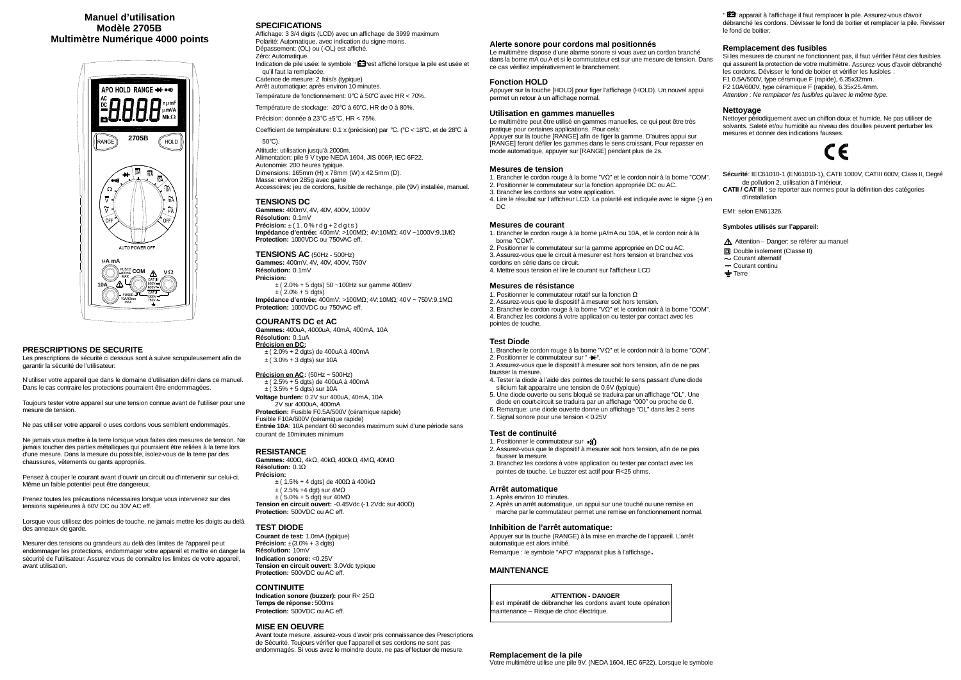## **Manuel d'utilisation Modèle 2705B Multimètre Numérique 4000 points**



### **PRESCRIPTIONS DE SECURITE**

Les prescriptions de sécurité ci dessous sont à suivre scrupuleusement afin de garantir la sécurité de l'utilisateur:

N'utiliser votre appareil que dans le domaine d'utilisation défini dans ce manuel. Dans le cas contraire les protections pourraient être endommagées.

Toujours tester votre appareil sur une tension connue avant de l'utiliser pour une mesure de tension.

Ne pas utiliser votre appareil o uses cordons vous semblent endommagés.

Lorsque vous utilisez des pointes de touche, ne jamais mettre les doigts au delà des anneaux de garde.

Ne jamais vous mettre à la terre lorsque vous faites des mesures de tension. Ne jamais toucher des parties métalliques qui pourraient être reliées à la terre lors d'une mesure. Dans la mesure du possible, isolez-vous de la terre par des chaussures, vêtements ou gants appropriés.

Pensez à couper le courant avant d'ouvrir un circuit ou d'intervenir sur celui-ci. Même un faible potentiel peut être dangereux.

Prenez toutes les précautions nécessaires lorsque vous intervenez sur des tensions supérieures à 60V DC ou 30V AC eff.

**Gammes:** 400mV, 4V, 40V, 400V, 750V **Résolution:** 0.1mV **Précision:**  $\pm$  (2.0% + 5 dgts) 50 ~100Hz sur gamme 400mV  $\pm (2.0\% + 5 \text{ dgt})$ 

Mesurer des tensions ou grandeurs au delà des limites de l'appareil peut endommager les protections, endommager votre appareil et mettre en danger la sécurité de l'utilisateur. Assurez vous de connaître les limites de votre appareil, avant utilisation.

**Gammes:** 400uA, 4000uA, 40mA, 400mA, 10A **Résolution:** 0.1uA **Précision en DC:** ± ( 2.0% + 2 dgts) de 400uA à 400mA  $\pm$  (3.0% + 3 dgts) sur 10A

### **SPECIFICATIONS**

Affichage: 3 3/4 digits (LCD) avec un affichage de 3999 maximum Polarité: Automatique, avec indication du signe moins. Dépassement: (OL) ou (-OL) est affiché. Zéro: Automatique. Indication de pile usée: le symbole "  $\Box$  est affiché lorsque la pile est usée et qu'il faut la remplacée. Cadence de mesure: 2 fois/s (typique)

**Gammes:** 400Ω, 4kΩ, 40kΩ, 400kΩ, 4MΩ, 40MΩ **Résolution:** 0.1Ω **Précision:** ± ( 1.5% + 4 dgts) de 400Ωà 400kΩ  $±$  (2.5% +4 dgt) sur 4M $Ω$ 

 $\pm$  (5.0% + 5 dgt) sur 40M $\Omega$ 

Arrêt automatique: après environ 10 minutes.

Température de fonctionnement: 0℃ à 50℃ avec HR < 70%. Température de stockage: -20℃ à 60℃, HR de 0 à 80%.

Précision: donnée à 23℃ ±5℃, HR < 75%.

Coefficient de température: 0.1 x (précision) par ℃. (℃ < 18℃, et de 28℃ à 50℃).

Altitude: utilisation jusqu'à 2000m. Alimentation: pile 9 V type NEDA 1604, JIS 006P, IEC 6F22. Autonomie: 200 heures typique. Dimensions: 165mm (H) x 78mm (W) x 42.5mm (D). Masse: environ 285g avec gaine Accessoires: jeu de cordons, fusible de rechange, pile (9V) installée, manuel.

### **TENSIONS DC**

**Gammes:** 400mV, 4V, 40V, 400V, 1000V **Résolution:** 0.1mV **Précision:** ± ( 1 . 0 % r d g + 2 d g t s ) **Impédance d'entrée:** 400mV: >100MΩ; 4V:10MΩ; 40V ~1000V:9.1MΩ **Protection:** 1000VDC ou 750VAC eff.

### **TENSIONS AC** (50Hz - 500Hz)

**Impédance d'entrée:** 400mV: >100MΩ; 4V:10MΩ; 40V ~ 750V:9.1MΩ **Protection:** 1000VDC ou 750VAC eff.

### **COURANTS DC et AC**

### **Précision en AC:** (50Hz ~ 500Hz)

± ( 2.5% + 5 dgts) de 400uA à 400mA  $\pm (3.5\% + 5 \text{ d}gt)$  sur 10A **Voltage burden:** 0.2V sur 400uA, 40mA, 10A 2V sur 4000uA, 400mA **Protection:** Fusible F0.5A/500V (céramique rapide) Fusible F10A/600V (céramique rapide) **Entrée 10A**: 10A pendant 60 secondes maximum suivi d'une période sans courant de 10minutes minimum

### **RESISTANCE**

- 1. Positionner le commutateur sur ((
- 2. Assurez-vous que le dispositif à mesurer soit hors tension, afin de ne pas fausser la mesure.
- 3. Branchez les cordons à votre application ou tester par contact avec les pointes de touche. Le buzzer est actif pour R<25 ohms.

**Tension en circuit ouvert:** -0.45Vdc (-1.2Vdc sur 400Ω) **Protection:** 500VDC ou AC eff.

### **TEST DIODE**

I est impératif de débrancher les cordons avant toute opération maintenance – Risque de choc électrique.

**Courant de test:** 1.0mA (typique) **Précision:** ±(3.0% + 3 dgts) **Résolution:** 10mV **Indication sonore:** <0.25V **Tension en circuit ouvert:** 3.0Vdc typique **Protection:** 500VDC ou AC eff.

"  $\Box$ " apparait à l'affichage il faut remplacer la pile. Assurez-vous d'avoir débranché les cordons. Dévisser le fond de boitier et remplacer la pile. Revisser le fond de boitier.

### **CONTINUITE**

**Indication sonore (buzzer):** pour R< 25Ω **Temps de réponse:** 500ms **Protection:** 500VDC ou AC eff.

### **MISE EN OEUVRE**

Avant toute mesure, assurez-vous d'avoir pris connaissance des Prescriptions de Sécurité. Toujours vérifier que l'appareil et ses cordons ne sont pas endommagés. Si vous avez le moindre doute, ne pas effectuer de mesure.

#### **Alerte sonore pour cordons mal positionnés**

Le multimètre dispose d'une alarme sonore si vous avez un cordon branché dans la borne mA ou A et si le commutateur est sur une mesure de tension. Dans ce cas vérifiez impérativement le branchement.

### **Fonction HOLD**

Appuyer sur la touche [HOLD] pour figer l'affichage (HOLD). Un nouvel appui permet un retour à un affichage normal.

#### **Utilisation en gammes manuelles**

Le multimètre peut être utilisé en gammes manuelles, ce qui peut être très pratique pour certaines applications. Pour cela: Appuyer sur la touche [RANGE] afin de figer la gamme. D'autres appui sur

[RANGE] feront défiler les gammes dans le sens croissant. Pour repasser en mode automatique, appuyer sur [RANGE] pendant plus de 2s.

### **Mesures de tension**

- 1. Brancher le cordon rouge à la borne "VΩ" et le cordon noir à la borne "COM".
- 2. Positionner le commutateur sur la fonction appropriée DC ou AC.
- 3. Brancher les cordons sur votre application.
- 4. Lire le résultat sur l'afficheur LCD. La polarité est indiquée avec le signe (-) en DC

### **Mesures de courant**

1. Brancher le cordon rouge à la borne µA/mA ou 10A, et le cordon noir à la borne "COM".

- 2. Positionner le commutateur sur la gamme appropriée en DC ou AC. 3. Assurez-vous que le circuit à mesurer est hors tension et branchez vos
- cordons en série dans ce circuit.
- 4. Mettre sous tension et lire le courant sur l'afficheur LCD

### **Mesures de résistance**

- 1. Positionner le commutateur rotatif sur la fonction Ω
- 2. Assurez-vous que le dispositif à mesurer soit hors tension.
- 3. Brancher le cordon rouge à la borne "VΩ" et le cordon noir à la borne "COM". 4. Branchez les cordons à votre application ou tester par contact avec les pointes de touche.

### **Test Diode**

- 1. Brancher le cordon rouge à la borne "VΩ" et le cordon noir à la borne "COM".
- 2. Positionner le commutateur sur "-3. Assurez-vous que le dispositif à mesurer soit hors tension, afin de ne pas
- fausser la mesure.
- 4. Tester la diode à l'aide des pointes de touché: le sens passant d'une diode silicium fait apparaitre une tension de 0.6V (typique)
- 5. Une diode ouverte ou sens bloqué se traduira par un affichage "OL". Une diode en court-circuit se traduira par un affichage "000" ou proche de 0.
- 6. Remarque: une diode ouverte donne un affichage "OL" dans les 2 sens
- 7. Signal sonore pour une tension < 0.25V

### **Test de continuité**

### **Arrêt automatique**

- 1. Après environ 10 minutes.
- 2. Après un arrêt automatique, un appui sur une touché ou une remise en marche par le commutateur permet une remise en fonctionnement normal.

#### **Inhibition de l'arrêt automatique:**

Appuyer sur la touche (RANGE) à la mise en marche de l'appareil. L'arrêt automatique est alors inhibé. Remarque : le symbole "APO" n'apparait plus à l'affichage**.**

### **MAINTENANCE**

### **ATTENTION - DANGER**

#### **Remplacement de la pile**

Votre multimètre utilise une pile 9V. (NEDA 1604, IEC 6F22). Lorsque le symbole

### **Remplacement des fusibles**

Si les mesures de courant ne fonctionnent pas, il faut vérifier l'état des fusibles qui assurent la protection de votre multimètre. Assurez-vous d'avoir débranché les cordons. Dévisser le fond de boitier et vérifier les fusibles : F1 0.5A/500V, type céramique F (rapide), 6.35x32mm. F2 10A/600V, type céramique F (rapide), 6.35x25.4mm. *Attention : Ne remplacer les fusibles qu'avec le même type.*

### **Nettoyage**

Nettoyer périodiquement avec un chiffon doux et humide. Ne pas utiliser de solvants. Saleté et/ou humidité au niveau des douilles peuvent perturber les mesures et donner des indications fausses.



**Sécurité**: IEC61010-1 (EN61010-1), CATII 1000V, CATIII 600V, Class II, Degré de pollution 2, utilisation à l'intérieur.

**CATII / CAT III** : se reporter aux normes pour la définition des catégories d'installation

EMI: selon EN61326.

### **Symboles utilisés sur l'appareil:**

A Attention – Danger: se référer au manuel

**D** Double isolement (Classe II)

- Courant alternatif

Courant continu

 $\div$  Terre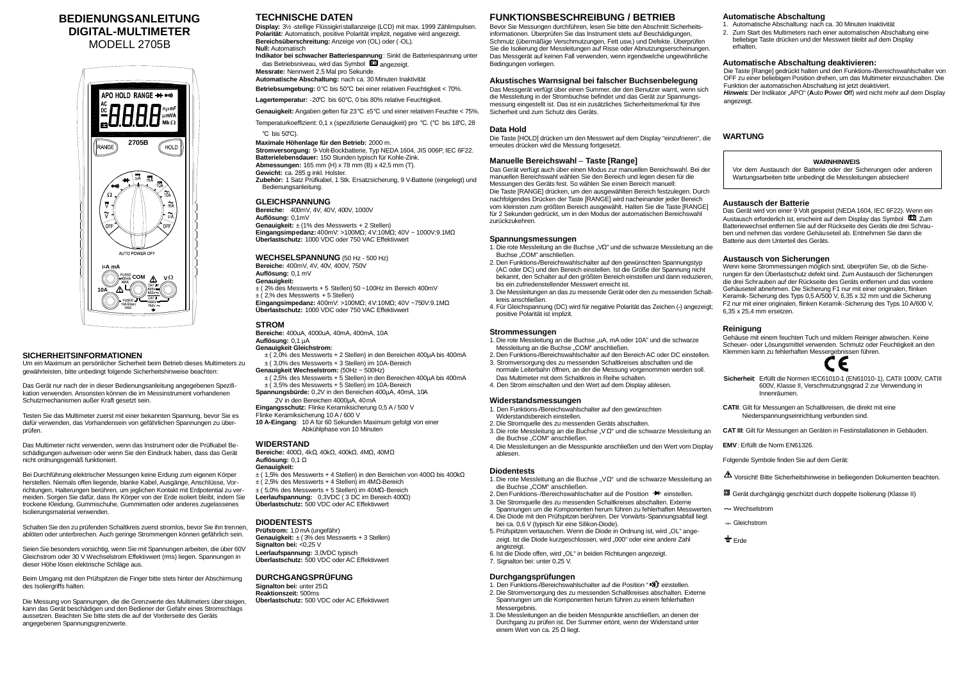# **BEDIENUNGSANLEITUNG DIGITAL-MULTIMETER**

MODELL 2705B



### **SICHERHEITSINFORMATIONEN**

Um ein Maximum an persönlicher Sicherheit beim Betrieb dieses Multimeters zu gewährleisten, bitte unbedingt folgende Sicherheitshinweise beachten:

Das Gerät nur nach der in dieser Bedienungsanleitung angegebenen Spezifikation verwenden. Ansonsten können die im Messinstrument vorhandenen Schutzmechanismen außer Kraft gesetzt sein.

Testen Sie das Multimeter zuerst mit einer bekannten Spannung, bevor Sie es dafür verwenden, das Vorhandensein von gefährlichen Spannungen zu überprüfen.

Das Multimeter nicht verwenden, wenn das Instrument oder die Prüfkabel Beschädigungen aufweisen oder wenn Sie den Eindruck haben, dass das Gerät nicht ordnungsgemäß funktioniert.

Bei Durchführung elektrischer Messungen keine Erdung zum eigenen Körper herstellen. Niemals offen liegende, blanke Kabel, Ausgänge, Anschlüsse, Vorrichtungen, Halterungen berühren, um jeglichen Kontakt mit Erdpotential zu vermeiden. Sorgen Sie dafür, dass Ihr Körper von der Erde isoliert bleibt, indem Sie trockene Kleidung, Gummischuhe, Gummimatten oder anderes zugelassenes Isolierungsmaterial verwenden.

**Indikator bei schwacher Batteriespannung**: Sinkt die Batteriespannung unter das Betriebsniveau, wird das Symbol **and angezeigt.** 

Schalten Sie den zu prüfenden Schaltkreis zuerst stromlos, bevor Sie ihn trennen, ablöten oder unterbrechen. Auch geringe Strommengen können gefährlich sein.

Seien Sie besonders vorsichtig, wenn Sie mit Spannungen arbeiten, die über 60V Gleichstrom oder 30 V Wechselstrom Effektivwert (rms) liegen. Spannungen in dieser Höhe lösen elektrische Schläge aus.

Beim Umgang mit den Prüfspitzen die Finger bitte stets hinter der Abschirmung des Isoliergriffs halten.

- **Genauigkeit:**
- ± ( 2% des Messwerts + 5 Stellen) 50 ~100Hz im Bereich 400mV  $\pm$  (2,% des Messwerts + 5 Stellen)

Die Messung von Spannungen, die die Grenzwerte des Multimeters übersteigen, kann das Gerät beschädigen und den Bediener der Gefahr eines Stromschlags aussetzen. Beachten Sie bitte stets die auf der Vorderseite des Geräts angegebenen Spannungsgrenzwerte.

# **TECHNISCHE DATEN**

**Display:** 3½ -stellige Flüssigkristallanzeige (LCD) mit max. 1999 Zählimpulsen. **Polarität:** Automatisch, positive Polarität implizit, negative wird angezeigt. **Bereichsüberschreitung:** Anzeige von (OL) oder (-OL).

**Null:** Automatisch

**Messrate:** Nennwert 2,5 Mal pro Sekunde.

**Automatische Abschaltung:** nach ca. 30 Minuten Inaktivität

**Betriebsumgebung:** 0℃ bis 50℃ bei einer relativen Feuchtigkeit < 70%.

**Lagertemperatur:** -20℃ bis 60℃, 0 bis 80% relative Feuchtigkeit.

**Genauigkeit:** Angaben gelten für 23℃ ±5℃ und einer relativen Feuchte < 75%.

Temperaturkoeffizient: 0,1 x (spezifizierte Genauigkeit) pro ℃. (℃ bis 18℃, 28 ℃ bis 50℃).

**Maximale Höhenlage für den Betrieb:** 2000 m. **Stromversorgung:** 9-Volt-Bockbatterie, Typ NEDA 1604, JIS 006P, IEC 6F22. **Batterielebensdauer:** 150 Stunden typisch für Kohle-Zink. **Abmessungen:** 165 mm (H) x 78 mm (B) x 42,5 mm (T). **Gewicht:** ca. 285 g inkl. Holster. **Zubehör:** 1 Satz Prüfkabel, 1 Stk. Ersatzsicherung, 9 V-Batterie (eingelegt) und

Das Gerät verfügt auch über einen Modus zur manuellen Bereichswahl. Bei der manuellen Bereichswahl wählen Sie den Bereich und legen diesen für die Messungen des Geräts fest. So wählen Sie einen Bereich manuell: Die Taste [RANGE] drücken, um den ausgewählten Bereich festzulegen. Durch nachfolgendes Drücken der Taste [RANGE] wird nacheinander jeder Bereich vom kleinsten zum größten Bereich ausgewählt. Halten Sie die Taste [RANGE] für 2 Sekunden gedrückt, um in den Modus der automatischen Bereichswahl zurückzukehren.

### Bedienungsanleitung. **GLEICHSPANNUNG**

**Bereiche:** 400mV, 4V, 40V, 400V, 1000V **Auflösung:** 0,1mV **Genauigkeit:** ± (1% des Messwerts + 2 Stellen) **Eingangsimpedanz:** 400mV: >100MΩ; 4V:10MΩ; 40V ~ 1000V:9.1MΩ **Überlastschutz:** 1000 VDC oder 750 VAC Effektivwert

### **WECHSELSPANNUNG** (50 Hz - 500 Hz)

**Bereiche:** 400mV, 4V, 40V, 400V, 750V

**Auflösung:** 0,1 mV

**Eingangsimpedanz:** 400mV: >100MΩ; 4V:10MΩ; 40V ~750V:9.1MΩ **Überlastschutz:** 1000 VDC oder 750 VAC Effektivwert

### **STROM**

**Bereiche:** 400uA, 4000uA, 40mA, 400mA, 10A

### **Auflösung:** 0,1 µA

- 1. Die rote Messleitung an die Buchse "uA, mA oder 10A" und die schwarze Messleitung an die Buchse "COM" anschließen.
- 2. Den Funktions-/Bereichswahlschalter auf den Bereich AC oder DC einstellen. 3. Stromversorgung des zu messenden Schaltkreises abschalten und die
- normale Leiterbahn öffnen, an der die Messung vorgenommen werden soll.
- Das Multimeter mit dem Schaltkreis in Reihe schalten. 4. Den Strom einschalten und den Wert auf dem Display ablesen.
- **Genauigkeit Gleichstrom:**
- ± ( 2,0% des Messwerts + 2 Stellen) in den Bereichen 400µA bis 400mA
- ± ( 3,0% des Messwerts + 3 Stellen) im 10A-Bereich
- **Genauigkeit Wechselstrom:** (50Hz ~ 500Hz) ± ( 2,5% des Messwerts + 5 Stellen) in den Bereichen 400µA bis 400mA
- $\pm$  (3,5% des Messwerts + 5 Stellen) im 10A-Bereich **Spannungsbürde:** 0,2V in den Bereichen 400µA, 40mA, 10A
- 2V in den Bereichen 4000µA, 40mA
- **Eingangsschutz:** Flinke Keramiksicherung 0,5 A / 500 V
- Flinke Keramiksicherung 10 A / 600 V
- **10 A-Eingang**: 10 A für 60 Sekunden Maximum gefolgt von einer Abkühlphase von 10 Minuten

### **WIDERSTAND**

- 1. Die rote Messleitung an die Buchse "VΩ" und die schwarze Messleitung an die Buchse "COM" anschließen.
- 2. Den Funktions-/Bereichswahlschalter auf die Position <sup>+</sup> einstellen.
- 3. Die Stromquelle des zu messenden Schaltkreises abschalten. Externe
- Spannungen um die Komponenten herum führen zu fehlerhaften Messwerten. 4. Die Diode mit den Prüfspitzen berühren. Der Vorwärts-Spannungsabfall liegt
- bei ca. 0,6 V (typisch für eine Silikon-Diode). 5. Prüfspitzen vertauschen. Wenn die Diode in Ordnung ist, wird "OL" angezeigt. Ist die Diode kurzgeschlossen, wird "000" oder eine andere Zahl
- angezeigt. 6. Ist die Diode offen, wird "OL" in beiden Richtungen angezeigt.
- 7. Signalton bei: unter 0,25 V.

**Bereiche:** 400Ω, 4kΩ, 40kΩ, 400kΩ, 4MΩ, 40MΩ **Auflösung:** 0,1 Ω

#### **Genauigkeit:**

- ± ( 1,5% des Messwerts + 4 Stellen) in den Bereichen von 400Ωbis 400kΩ
- $±$  (2,5% des Messwerts + 4 Stellen) im 4MΩ-Bereich
- ± ( 5,0% des Messwerts + 5 Stellen) im 40MΩ-Bereich
- **Leerlaufspannung:** 0,3VDC ( 3 DC im Bereich 400Ω)
- **Überlastschutz:** 500 VDC oder AC Effektivwert

Die Taste [Range] gedrückt halten und den Funktions-/Bereichswahlschalter von OFF zu einer beliebigen Position drehen, um das Multimeter einzuschalten. Die Funktion der automatischen Abschaltung ist jetzt deaktiviert. **Hinweis**: Der Indikator "APO" (Auto Power Off) wird nicht mehr auf dem Display

### **DIODENTESTS**

**Prüfstrom:** 1,0 mA (ungefähr) **Genauigkeit:** ± ( 3% des Messwerts + 3 Stellen) **Signalton bei:** <0,25 V **Leerlaufspannung:** 3,0VDC typisch **Überlastschutz:** 500 VDC oder AC Effektivwert

### **DURCHGANGSPRÜFUNG**

**Signalton bei:** unter 25Ω. **Reaktionszeit:** 500ms **Überlastschutz:** 500 VDC oder AC Effektivwert

# **FUNKTIONSBESCHREIBUNG / BETRIEB**

Bevor Sie Messungen durchführen, lesen Sie bitte den Abschnitt Sicherheitsinformationen. Überprüfen Sie das Instrument stets auf Beschädigungen, Schmutz (übermäßige Verschmutzungen, Fett usw.) und Defekte. Überprüfen Sie die Isolierung der Messleitungen auf Risse oder Abnutzungserscheinungen. Das Messgerät auf keinen Fall verwenden, wenn irgendwelche ungewöhnliche Bedingungen vorliegen.

- **Sicherheit**: Erfüllt die Normen IEC61010-1 (EN61010-1), CATII 1000V, CATIII 600V, Klasse II, Verschmutzungsgrad 2 zur Verwendung in Innenräumen.
- **CATII**: Gilt für Messungen an Schaltkreisen, die direkt mit eine Niederspannungseinrichtung verbunden sind.
- **CAT III**: Gilt für Messungen an Geräten in Festinstallationen in Gebäuden.
- **EMV**: Erfüllt die Norm EN61326.
- Folgende Symbole finden Sie auf dem Gerät:
- $\Delta$  Vorsicht! Bitte Sicherheitshinweise in beiliegenden Dokumenten beachten.
- Gerät durchgängig geschützt durch doppelte Isolierung (Klasse II)
- Wechselstrom
- Gleichstrom
- $\frac{1}{2}$  Erde

### **Akustisches Warnsignal bei falscher Buchsenbelegung**

Das Messgerät verfügt über einen Summer, der den Benutzer warnt, wenn sich die Messleitung in der Strombuchse befindet und das Gerät zur Spannungsmessung eingestellt ist. Das ist ein zusätzliches Sicherheitsmerkmal für Ihre Sicherheit und zum Schutz des Geräts.

### **Data Hold**

Die Taste [HOLD] drücken um den Messwert auf dem Display "einzufrieren", die erneutes drücken wird die Messung fortgesetzt.

### **Manuelle Bereichswahl** – **Taste [Range]**

### **Spannungsmessungen**

- 1. Die rote Messleitung an die Buchse "VΩ" und die schwarze Messleitung an die Buchse "COM" anschließen.
- 2. Den Funktions-/Bereichswahlschalter auf den gewünschten Spannungstyp (AC oder DC) und den Bereich einstellen. Ist die Größe der Spannung nicht bekannt, den Schalter auf den größten Bereich einstellen und dann reduzieren, bis ein zufriedenstellender Messwert erreicht ist.
- 3. Die Messleitungen an das zu messende Gerät oder den zu messenden Schaltkreis anschließen.
- 4. Für Gleichspannung (DC) wird für negative Polarität das Zeichen (-) angezeigt; positive Polarität ist implizit.

### **Strommessungen**

### **Widerstandsmessungen**

- 1. Den Funktions-/Bereichswahlschalter auf den gewünschten Widerstandsbereich einstellen.
- 2. Die Stromquelle des zu messenden Geräts abschalten.
- 3. Die rote Messleitung an die Buchse "V Ω" und die schwarze Messleitung an die Buchse "COM" anschließen.
- 4. Die Messleitungen an die Messpunkte anschließen und den Wert vom Display ablesen.

### **Diodentests**

### **Durchgangsprüfungen**

- 1. Den Funktions-/Bereichswahlschalter auf die Position "">>> einstellen.
- 2. Die Stromversorgung des zu messenden Schaltkreises abschalten. Externe Spannungen um die Komponenten herum führen zu einem fehlerhaften Messergebnis.
- 3. Die Messleitungen an die beiden Messpunkte anschließen, an denen der Durchgang zu prüfen ist. Der Summer ertönt, wenn der Widerstand unter einem Wert von ca. 25 Ω liegt.

### **Automatische Abschaltung**

- 1. Automatische Abschaltung: nach ca. 30 Minuten Inaktivität
- 2. Zum Start des Multimeters nach einer automatischen Abschaltung eine beliebige Taste drücken und der Messwert bleibt auf dem Display erhalten.

### **Automatische Abschaltung deaktivieren:**

angezeigt.

### **WARTUNG**

#### **WARNHINWEIS**

Vor dem Austausch der Batterie oder der Sicherungen oder anderen Wartungsarbeiten bitte unbedingt die Messleitungen abstecken!

### **Austausch der Batterie**

Das Gerät wird von einer 9 Volt gespeist (NEDA 1604, IEC 6F22). Wenn ein Austausch erforderlich ist, erscheint auf dem Display das Symbol  $\blacksquare$  Zum Batteriewechsel entfernen Sie auf der Rückseite des Geräts die drei Schrauben und nehmen das vordere Gehäuseteil ab. Entnehmen Sie dann die Batterie aus dem Unterteil des Geräts.

### **Austausch von Sicherungen**

Wenn keine Strommessungen möglich sind, überprüfen Sie, ob die Sicherungen für den Überlastschutz defekt sind. Zum Austausch der Sicherungen die drei Schrauben auf der Rückseite des Geräts entfernen und das vordere Gehäuseteil abnehmen. Die Sicherung F1 nur mit einer originalen, flinken Keramik-Sicherung des Typs 0,5 A/500 V, 6,35 x 32 mm und die Sicherung F2 nur mit einer originalen, flinken Keramik-Sicherung des Typs 10 A/600 V, 6,35 x 25,4 mm ersetzen.

### **Reinigung**

Gehäuse mit einem feuchten Tuch und mildem Reiniger abwischen. Keine Scheuer- oder Lösungsmittel verwenden. Schmutz oder Feuchtigkeit an den Klemmen kann zu fehlerhaften Messergebnissen führen.